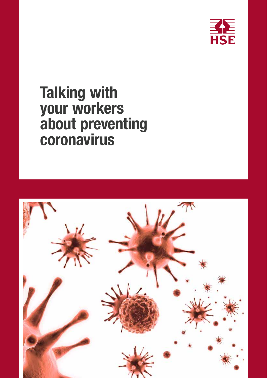

# Talking with your workers about preventing coronavirus

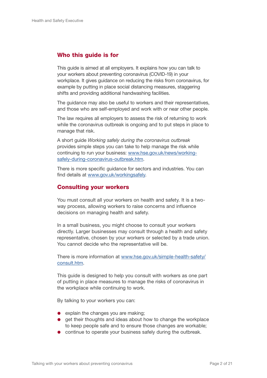#### Who this guide is for

This guide is aimed at all employers. It explains how you can talk to your workers about preventing coronavirus (COVID-19) in your workplace. It gives guidance on reducing the risks from coronavirus, for example by putting in place social distancing measures, staggering shifts and providing additional handwashing facilities.

The guidance may also be useful to workers and their representatives, and those who are self-employed and work with or near other people.

The law requires all employers to assess the risk of returning to work while the coronavirus outbreak is ongoing and to put steps in place to manage that risk.

A short guide *Working safely during the coronavirus outbreak* provides simple steps you can take to help manage the risk while continuing to run your business: [www.hse.gov.uk/news/working](http://www.hse.gov.uk/news/working-safely-during-coronavirus-outbreak.htm )[safely-during-coronavirus-outbreak.htm](http://www.hse.gov.uk/news/working-safely-during-coronavirus-outbreak.htm ).

There is more specific guidance for sectors and industries. You can find details at [www.gov.uk/workingsafely.](http://www.gov.uk/workingsafely)

#### Consulting your workers

You must consult all your workers on health and safety. It is a twoway process, allowing workers to raise concerns and influence decisions on managing health and safety.

In a small business, you might choose to consult your workers directly. Larger businesses may consult through a health and safety representative, chosen by your workers or selected by a trade union. You cannot decide who the representative will be.

There is more information at [www.hse.gov.uk/simple-health-safety/](http://www.hse.gov.uk/simple-health-safety/consult.htm) [consult.htm](http://www.hse.gov.uk/simple-health-safety/consult.htm).

This guide is designed to help you consult with workers as one part of putting in place measures to manage the risks of coronavirus in the workplace while continuing to work.

By talking to your workers you can:

- $\bullet$  explain the changes you are making;
- **e** get their thoughts and ideas about how to change the workplace to keep people safe and to ensure those changes are workable;
- **•** continue to operate your business safely during the outbreak.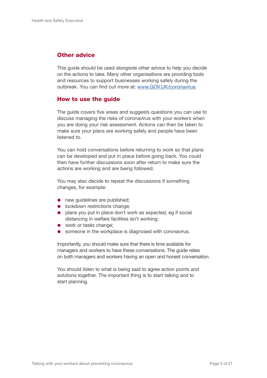#### **Other advice**

This guide should be used alongside other advice to help you decide on the actions to take. Many other organisations are providing tools and resources to support businesses working safely during the outbreak. You can find out more at: [www.GOV.UK/coronavirus.](https://www.GOV.UK/coronavirus)

#### How to use the guide

The guide covers five areas and suggests questions you can use to discuss managing the risks of coronavirus with your workers when you are doing your risk assessment. Actions can then be taken to make sure your plans are working safely and people have been listened to.

You can hold conversations before returning to work so that plans can be developed and put in place before going back. You could then have further discussions soon after return to make sure the actions are working and are being followed.

You may also decide to repeat the discussions if something changes, for example:

- new quidelines are published:
- **·** lockdown restrictions change;
- plans you put in place don't work as expected, eg if social distancing in welfare facilities isn't working;
- work or tasks change;
- **Someone in the workplace is diagnosed with coronavirus.**

Importantly, you should make sure that there is time available for managers and workers to have these conversations. The guide relies on both managers and workers having an open and honest conversation.

You should listen to what is being said to agree action points and solutions together. The important thing is to start talking and to start planning.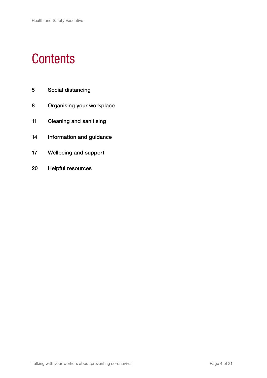# **Contents**

- Social distancing
- Organising your workplace
- Cleaning and sanitising
- Information and guidance
- Wellbeing and support
- Helpful resources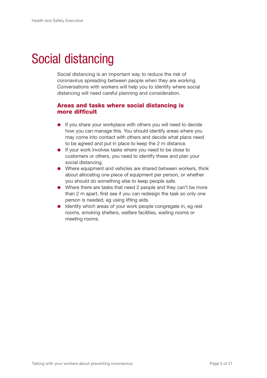# Social distancing

Social distancing is an important way to reduce the risk of coronavirus spreading between people when they are working. Conversations with workers will help you to identify where social distancing will need careful planning and consideration.

#### Areas and tasks where social distancing is more difficult

- **If you share your workplace with others you will need to decide** how you can manage this. You should identify areas where you may come into contact with others and decide what plans need to be agreed and put in place to keep the 2 m distance.
- **If your work involves tasks where you need to be close to** customers or others, you need to identify these and plan your social distancing.
- Where equipment and vehicles are shared between workers, think about allocating one piece of equipment per person, or whether you should do something else to keep people safe.
- Where there are tasks that need 2 people and they can't be more than 2 m apart, first see if you can redesign the task so only one person is needed, eg using lifting aids.
- **IDENTIFY** which areas of your work people congregate in, eg rest rooms, smoking shelters, welfare facilities, waiting rooms or meeting rooms.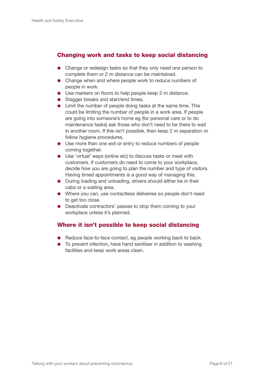#### Changing work and tasks to keep social distancing

- Change or redesign tasks so that they only need one person to complete them or 2 m distance can be maintained.
- Change when and where people work to reduce numbers of people in work.
- Use markers on floors to help people keep 2 m distance.
- Stagger breaks and start/end times.
- Limit the number of people doing tasks at the same time. This could be limiting the number of people in a work area. If people are going into someone's home eg (for personal care or to do maintenance tasks) ask those who don't need to be there to wait in another room. If this isn't possible, then keep 2 m separation or follow hygiene procedures.
- Use more than one exit or entry to reduce numbers of people coming together.
- Use 'virtual' ways (online etc) to discuss tasks or meet with customers. If customers do need to come to your workplace, decide how you are going to plan the number and type of visitors. Having timed appointments is a good way of managing this.
- During loading and unloading, drivers should either be in their cabs or a waiting area.
- Where you can, use contactless deliveries so people don't need to get too close.
- Deactivate contractors' passes to stop them coming to your workplace unless it's planned.

#### Where it isn't possible to keep social distancing

- Reduce face-to-face contact, eg people working back to back.
- To prevent infection, have hand sanitiser in addition to washing facilities and keep work areas clean.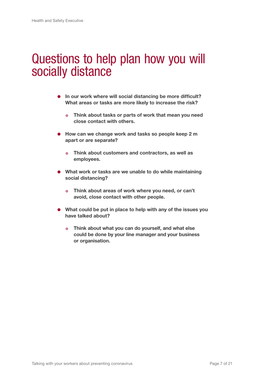### Questions to help plan how you will socially distance

- In our work where will social distancing be more difficult? What areas or tasks are more likely to increase the risk?
	- o Think about tasks or parts of work that mean you need close contact with others.
- How can we change work and tasks so people keep 2 m apart or are separate?
	- o Think about customers and contractors, as well as employees.
- What work or tasks are we unable to do while maintaining social distancing?
	- o Think about areas of work where you need, or can't avoid, close contact with other people.
- What could be put in place to help with any of the issues you have talked about?
	- o Think about what you can do yourself, and what else could be done by your line manager and your business or organisation.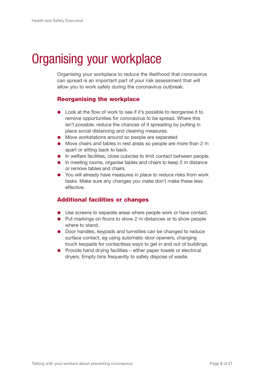# Organising your workplace

Organising your workplace to reduce the likelihood that coronavirus can spread is an important part of your risk assessment that will allow you to work safely during the coronavirus outbreak.

#### Reorganising the workplace

- Look at the flow of work to see if it's possible to reorganise it to remove opportunities for coronavirus to be spread. Where this isn't possible, reduce the chances of it spreading by putting in place social distancing and cleaning measures.
- Move workstations around so people are separated.
- Move chairs and tables in rest areas so people are more than 2 m apart or sitting back to back.
- **In welfare facilities, close cubicles to limit contact between people.**
- **In meeting rooms, organise tables and chairs to keep 2 m distance** or remove tables and chairs.
- You will already have measures in place to reduce risks from work tasks. Make sure any changes you make don't make these less effective.

#### Additional facilities or changes

- Use screens to separate areas where people work or have contact.
- **Put markings on floors to show 2 m distances or to show people** where to stand.
- Door handles, keypads and turnstiles can be changed to reduce surface contact, eg using automatic door openers, changing touch keypads for contactless ways to get in and out of buildings.
- $\bullet$  Provide hand drying facilities either paper towels or electrical dryers. Empty bins frequently to safely dispose of waste.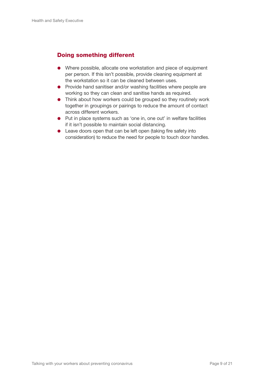#### Doing something different

- Where possible, allocate one workstation and piece of equipment per person. If this isn't possible, provide cleaning equipment at the workstation so it can be cleaned between uses.
- **•** Provide hand sanitiser and/or washing facilities where people are working so they can clean and sanitise hands as required.
- **•** Think about how workers could be grouped so they routinely work together in groupings or pairings to reduce the amount of contact across different workers.
- Put in place systems such as 'one in, one out' in welfare facilities if it isn't possible to maintain social distancing.
- Leave doors open that can be left open (taking fire safety into consideration) to reduce the need for people to touch door handles.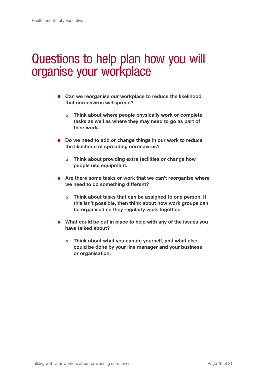### Questions to help plan how you will organise your workplace

- Can we reorganise our workplace to reduce the likelihood that coronavirus will spread?
	- o Think about where people physically work or complete tasks as well as where they may need to go as part of their work.
- Do we need to add or change things in our work to reduce the likelihood of spreading coronavirus?
	- o Think about providing extra facilities or change how people use equipment.
- Are there some tasks or work that we can't reorganise where we need to do something different?
	- o Think about tasks that can be assigned to one person. If this isn't possible, then think about how work groups can be organised so they regularly work together.
- What could be put in place to help with any of the issues you have talked about?
	- o Think about what you can do yourself, and what else could be done by your line manager and your business or organisation.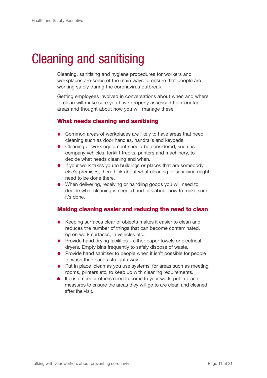# Cleaning and sanitising

Cleaning, sanitising and hygiene procedures for workers and workplaces are some of the main ways to ensure that people are working safely during the coronavirus outbreak.

Getting employees involved in conversations about when and where to clean will make sure you have properly assessed high-contact areas and thought about how you will manage these.

#### What needs cleaning and sanitising

- **•** Common areas of workplaces are likely to have areas that need cleaning such as door handles, handrails and keypads.
- Cleaning of work equipment should be considered, such as company vehicles, forklift trucks, printers and machinery, to decide what needs cleaning and when.
- **If your work takes you to buildings or places that are somebody** else's premises, then think about what cleaning or sanitising might need to be done there.
- When delivering, receiving or handling goods you will need to decide what cleaning is needed and talk about how to make sure it's done.

#### Making cleaning easier and reducing the need to clean

- Keeping surfaces clear of objects makes it easier to clean and reduces the number of things that can become contaminated, eg on work surfaces, in vehicles etc.
- $\bullet$  Provide hand drying facilities either paper towels or electrical dryers. Empty bins frequently to safely dispose of waste.
- Provide hand sanitiser to people when it isn't possible for people to wash their hands straight away.
- Put in place 'clean as you use systems' for areas such as meeting rooms, printers etc, to keep up with cleaning requirements.
- **If customers or others need to come to your work, put in place** measures to ensure the areas they will go to are clean and cleaned after the visit.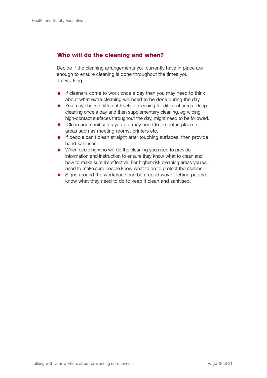#### Who will do the cleaning and when?

Decide if the cleaning arrangements you currently have in place are enough to ensure cleaning is done throughout the times you are working.

- **If cleaners come to work once a day then you may need to think** about what extra cleaning will need to be done during the day.
- You may choose different levels of cleaning for different areas. Deep cleaning once a day and then supplementary cleaning, eg wiping high-contact surfaces throughout the day, might need to be followed.
- 'Clean and sanitise as you go' may need to be put in place for areas such as meeting rooms, printers etc.
- **If people can't clean straight after touching surfaces, then provide** hand sanitiser.
- When deciding who will do the cleaning you need to provide information and instruction to ensure they know what to clean and how to make sure it's effective. For higher-risk cleaning areas you will need to make sure people know what to do to protect themselves.
- Signs around the workplace can be a good way of letting people know what they need to do to keep it clean and sanitised.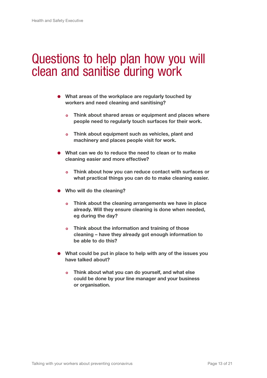### Questions to help plan how you will clean and sanitise during work

- What areas of the workplace are regularly touched by workers and need cleaning and sanitising?
	- o Think about shared areas or equipment and places where people need to regularly touch surfaces for their work.
	- o Think about equipment such as vehicles, plant and machinery and places people visit for work.
- What can we do to reduce the need to clean or to make cleaning easier and more effective?
	- o Think about how you can reduce contact with surfaces or what practical things you can do to make cleaning easier.
- Who will do the cleaning?
	- o Think about the cleaning arrangements we have in place already. Will they ensure cleaning is done when needed, eg during the day?
	- o Think about the information and training of those cleaning – have they already got enough information to be able to do this?
- What could be put in place to help with any of the issues you have talked about?
	- o Think about what you can do yourself, and what else could be done by your line manager and your business or organisation.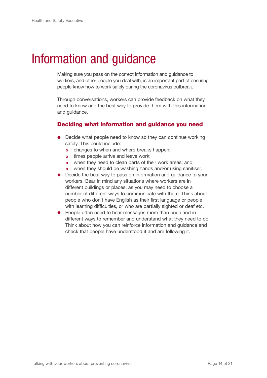# Information and guidance

Making sure you pass on the correct information and guidance to workers, and other people you deal with, is an important part of ensuring people know how to work safely during the coronavirus outbreak.

Through conversations, workers can provide feedback on what they need to know and the best way to provide them with this information and guidance.

#### Deciding what information and guidance you need

- Decide what people need to know so they can continue working safely. This could include:
	- o changes to when and where breaks happen;
	- o times people arrive and leave work:
	- o when they need to clean parts of their work areas; and
	- o when they should be washing hands and/or using sanitiser.
- Decide the best way to pass on information and guidance to your workers. Bear in mind any situations where workers are in different buildings or places, as you may need to choose a number of different ways to communicate with them. Think about people who don't have English as their first language or people with learning difficulties, or who are partially sighted or deaf etc.
- People often need to hear messages more than once and in different ways to remember and understand what they need to do. Think about how you can reinforce information and guidance and check that people have understood it and are following it.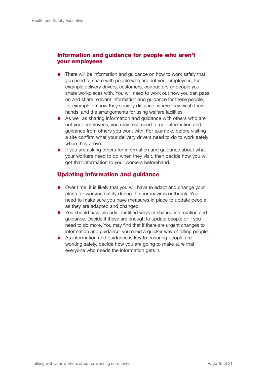#### Information and guidance for people who aren't your employees

- There will be information and guidance on how to work safely that you need to share with people who are not your employees, for example delivery drivers, customers, contractors or people you share workplaces with. You will need to work out how you can pass on and share relevant information and guidance for these people, for example on how they socially distance, where they wash their hands, and the arrangements for using welfare facilities.
- As well as sharing information and guidance with others who are not your employees, you may also need to get information and guidance from others you work with. For example, before visiting a site confirm what your delivery drivers need to do to work safely when they arrive.
- **If you are asking others for information and guidance about what** your workers need to do when they visit, then decide how you will get that information to your workers beforehand.

#### Updating information and guidance

- Over time, it is likely that you will have to adapt and change your plans for working safely during the coronavirus outbreak. You need to make sure you have measures in place to update people as they are adapted and changed.
- You should have already identified ways of sharing information and guidance. Decide if these are enough to update people or if you need to do more. You may find that if there are urgent changes to information and guidance, you need a quicker way of telling people.
- As information and guidance is key to ensuring people are working safely, decide how you are going to make sure that everyone who needs the information gets it.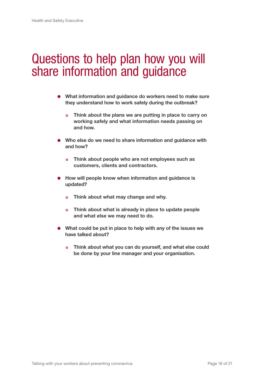### Questions to help plan how you will share information and guidance

- What information and guidance do workers need to make sure they understand how to work safely during the outbreak?
	- o Think about the plans we are putting in place to carry on working safely and what information needs passing on and how.
- Who else do we need to share information and guidance with and how?
	- o Think about people who are not employees such as customers, clients and contractors.
- **How will people know when information and guidance is** updated?
	- o Think about what may change and why.
	- o Think about what is already in place to update people and what else we may need to do.
- What could be put in place to help with any of the issues we have talked about?
	- o Think about what you can do yourself, and what else could be done by your line manager and your organisation.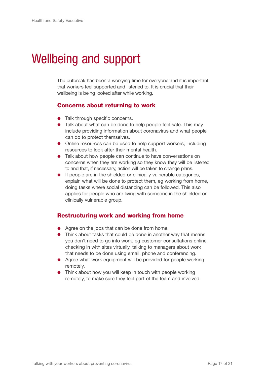# Wellbeing and support

The outbreak has been a worrying time for everyone and it is important that workers feel supported and listened to. It is crucial that their wellbeing is being looked after while working.

#### Concerns about returning to work

- Talk through specific concerns.
- Talk about what can be done to help people feel safe. This may include providing information about coronavirus and what people can do to protect themselves.
- Online resources can be used to help support workers, including resources to look after their mental health.
- Talk about how people can continue to have conversations on concerns when they are working so they know they will be listened to and that, if necessary, action will be taken to change plans.
- **If people are in the shielded or clinically vulnerable categories,** explain what will be done to protect them, eg working from home, doing tasks where social distancing can be followed. This also applies for people who are living with someone in the shielded or clinically vulnerable group.

#### Restructuring work and working from home

- Agree on the jobs that can be done from home.
- Think about tasks that could be done in another way that means you don't need to go into work, eg customer consultations online, checking in with sites virtually, talking to managers about work that needs to be done using email, phone and conferencing.
- Agree what work equipment will be provided for people working remotely.
- Think about how you will keep in touch with people working remotely, to make sure they feel part of the team and involved.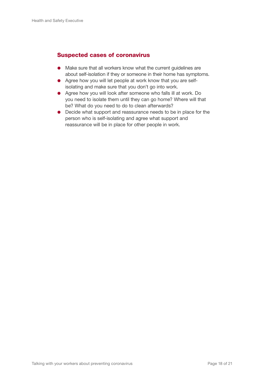#### Suspected cases of coronavirus

- Make sure that all workers know what the current quidelines are about self-isolation if they or someone in their home has symptoms.
- **•** Agree how you will let people at work know that you are selfisolating and make sure that you don't go into work.
- Agree how you will look after someone who falls ill at work. Do you need to isolate them until they can go home? Where will that be? What do you need to do to clean afterwards?
- Decide what support and reassurance needs to be in place for the person who is self-isolating and agree what support and reassurance will be in place for other people in work.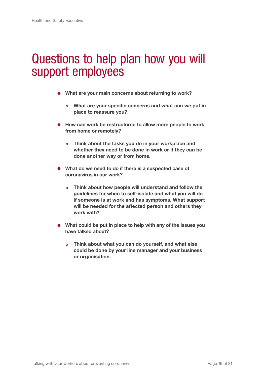## Questions to help plan how you will support employees

- What are your main concerns about returning to work?
	- o What are your specific concerns and what can we put in place to reassure you?
- How can work be restructured to allow more people to work from home or remotely?
	- o Think about the tasks you do in your workplace and whether they need to be done in work or if they can be done another way or from home.
- What do we need to do if there is a suspected case of coronavirus in our work?
	- o Think about how people will understand and follow the guidelines for when to self-isolate and what you will do if someone is at work and has symptoms. What support will be needed for the affected person and others they work with?
- What could be put in place to help with any of the issues you have talked about?
	- o Think about what you can do yourself, and what else could be done by your line manager and your business or organisation.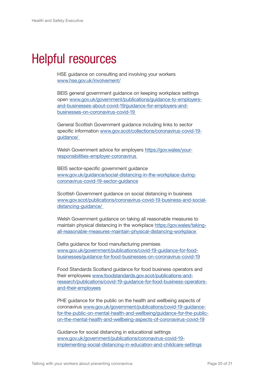## Helpful resources

HSE guidance on consulting and involving your workers [www.hse.gov.uk/involvement/](http://www.hse.gov.uk/involvement/)

BEIS general government guidance on keeping workplace settings open [www.gov.uk/government/publications/guidance-to-employers](http://www.gov.uk/government/publications/guidance-to-employers-and-businesses-about-covid-19/guidance-for-)[and-businesses-about-covid-19/guidance-for-employers-and](http://www.gov.uk/government/publications/guidance-to-employers-and-businesses-about-covid-19/guidance-for-)[businesses-on-coronavirus-covid-19](http://www.gov.uk/government/publications/guidance-to-employers-and-businesses-about-covid-19/guidance-for-) 

General Scottish Government guidance including links to sector specific information [www.gov.scot/collections/coronavirus-covid-19](http://www.gov.scot/collections/coronavirus-covid-19-guidance/ ) [guidance/](http://www.gov.scot/collections/coronavirus-covid-19-guidance/ ) 

Welsh Government advice for employers [https://gov.wales/your](https://gov.wales/your-responsibilities-employer-coronavirus  )[responsibilities-employer-coronavirus](https://gov.wales/your-responsibilities-employer-coronavirus  ) 

BEIS sector-specific government guidance [www.gov.uk/guidance/social-distancing-in-the-workplace-during](http://www.gov.uk/guidance/social-distancing-in-the-workplace-during-coronavirus-covid-19-sector-guidance )[coronavirus-covid-19-sector-guidance](http://www.gov.uk/guidance/social-distancing-in-the-workplace-during-coronavirus-covid-19-sector-guidance )

Scottish Government guidance on social distancing in business [www.gov.scot/publications/coronavirus-covid-19-business-and-social](http://www.gov.scot/publications/coronavirus-covid-19-business-and-social-distancing-guidance/ )[distancing-guidance/](http://www.gov.scot/publications/coronavirus-covid-19-business-and-social-distancing-guidance/ ) 

Welsh Government guidance on taking all reasonable measures to maintain physical distancing in the workplace [https://gov.wales/taking](https://gov.wales/taking-all-reasonable-measures-maintain-physical-distancing-workplace )[all-reasonable-measures-maintain-physical-distancing-workplace](https://gov.wales/taking-all-reasonable-measures-maintain-physical-distancing-workplace ) 

Defra guidance for food manufacturing premises [www.gov.uk/government/publications/covid-19-guidance-for-food](http://www.gov.uk/government/publications/covid-19-guidance-for-food-businesses/guidance-for-food-businesse)[businesses/guidance-for-food-businesses-on-coronavirus-covid-19](http://www.gov.uk/government/publications/covid-19-guidance-for-food-businesses/guidance-for-food-businesse)

Food Standards Scotland guidance for food business operators and their employees [www.foodstandards.gov.scot/publications-and](http://www.foodstandards.gov.scot/publications-and-research/publications/covid-19-guidance-for-food-busines)[research/publications/covid-19-guidance-for-food-business-operators](http://www.foodstandards.gov.scot/publications-and-research/publications/covid-19-guidance-for-food-busines)[and-their-employees](http://www.foodstandards.gov.scot/publications-and-research/publications/covid-19-guidance-for-food-busines)

PHE guidance for the public on the health and wellbeing aspects of coronavirus [www.gov.uk/government/publications/covid-19-guidance](http://www.gov.uk/government/publications/covid-19-guidance-for-the-public-on-mental-health-and-wellbeing/g)[for-the-public-on-mental-health-and-wellbeing/guidance-for-the-public](http://www.gov.uk/government/publications/covid-19-guidance-for-the-public-on-mental-health-and-wellbeing/g)[on-the-mental-health-and-wellbeing-aspects-of-coronavirus-covid-19](http://www.gov.uk/government/publications/covid-19-guidance-for-the-public-on-mental-health-and-wellbeing/g)

Guidance for social distancing in educational settings [www.gov.uk/government/publications/coronavirus-covid-19](http://www.gov.uk/government/publications/coronavirus-covid-19-implementing-social-distancing-in-education-) [implementing-social-distancing-in-education-and-childcare-settings](http://www.gov.uk/government/publications/coronavirus-covid-19-implementing-social-distancing-in-education-)